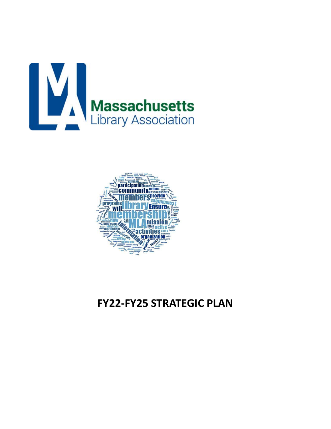



# **FY22-FY25 STRATEGIC PLAN**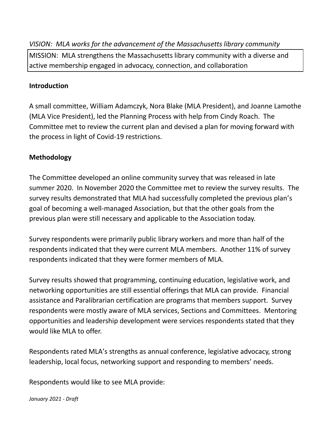*VISION: MLA works for the advancement of the Massachusetts library community* MISSION: MLA strengthens the Massachusetts library community with a diverse and active membership engaged in advocacy, connection, and collaboration

# **Introduction**

A small committee, William Adamczyk, Nora Blake (MLA President), and Joanne Lamothe (MLA Vice President), led the Planning Process with help from Cindy Roach. The Committee met to review the current plan and devised a plan for moving forward with the process in light of Covid-19 restrictions.

# **Methodology**

The Committee developed an online community survey that was released in late summer 2020. In November 2020 the Committee met to review the survey results. The survey results demonstrated that MLA had successfully completed the previous plan's goal of becoming a well-managed Association, but that the other goals from the previous plan were still necessary and applicable to the Association today.

Survey respondents were primarily public library workers and more than half of the respondents indicated that they were current MLA members. Another 11% of survey respondents indicated that they were former members of MLA.

Survey results showed that programming, continuing education, legislative work, and networking opportunities are still essential offerings that MLA can provide. Financial assistance and Paralibrarian certification are programs that members support. Survey respondents were mostly aware of MLA services, Sections and Committees. Mentoring opportunities and leadership development were services respondents stated that they would like MLA to offer.

Respondents rated MLA's strengths as annual conference, legislative advocacy, strong leadership, local focus, networking support and responding to members' needs.

Respondents would like to see MLA provide: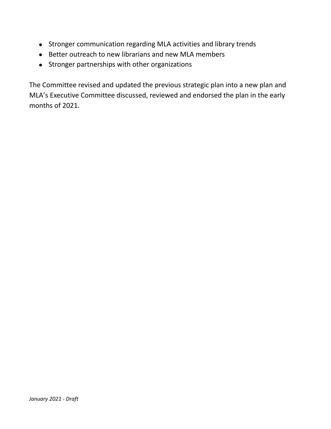- Stronger communication regarding MLA activities and library trends
- Better outreach to new librarians and new MLA members
- Stronger partnerships with other organizations

The Committee revised and updated the previous strategic plan into a new plan and MLA's Executive Committee discussed, reviewed and endorsed the plan in the early months of 2021.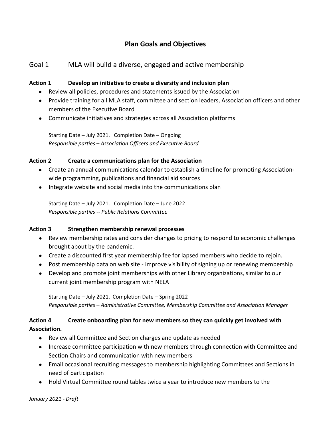# **Plan Goals and Objectives**

## Goal 1 MLA will build a diverse, engaged and active membership

#### **Action 1 Develop an initiative to create a diversity and inclusion plan**

- Review all policies, procedures and statements issued by the Association
- Provide training for all MLA staff, committee and section leaders, Association officers and other members of the Executive Board
- Communicate initiatives and strategies across all Association platforms

Starting Date – July 2021. Completion Date – Ongoing *Responsible parties – Association Officers and Executive Board* 

#### **Action 2 Create a communications plan for the Association**

- Create an annual communications calendar to establish a timeline for promoting Associationwide programming, publications and financial aid sources
- Integrate website and social media into the communications plan

Starting Date – July 2021. Completion Date – June 2022 *Responsible parties -- Public Relations Committee*

#### **Action 3 Strengthen membership renewal processes**

- Review membership rates and consider changes to pricing to respond to economic challenges brought about by the pandemic.
- Create a discounted first year membership fee for lapsed members who decide to rejoin.
- Post membership data on web site improve visibility of signing up or renewing membership
- Develop and promote joint memberships with other Library organizations, similar to our current joint membership program with NELA

Starting Date – July 2021. Completion Date – Spring 2022 *Responsible parties – Administrative Committee, Membership Committee and Association Manager*

### **Action 4 Create onboarding plan for new members so they can quickly get involved with Association.**

- Review all Committee and Section charges and update as needed
- Increase committee participation with new members through connection with Committee and Section Chairs and communication with new members
- Email occasional recruiting messages to membership highlighting Committees and Sections in need of participation
- Hold Virtual Committee round tables twice a year to introduce new members to the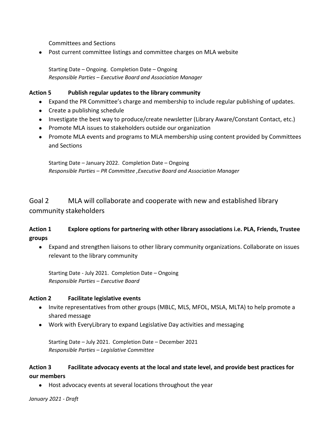Committees and Sections

Post current committee listings and committee charges on MLA website

Starting Date – Ongoing. Completion Date – Ongoing *Responsible Parties – Executive Board and Association Manager*

#### **Action 5 Publish regular updates to the library community**

- Expand the PR Committee's charge and membership to include regular publishing of updates.
- Create a publishing schedule
- Investigate the best way to produce/create newsletter (Library Aware/Constant Contact, etc.)
- Promote MLA issues to stakeholders outside our organization
- Promote MLA events and programs to MLA membership using content provided by Committees and Sections

Starting Date – January 2022. Completion Date – Ongoing *Responsible Parties – PR Committee ,Executive Board and Association Manager*

Goal 2 MLA will collaborate and cooperate with new and established library community stakeholders

## **Action 1 Explore options for partnering with other library associations i.e. PLA, Friends, Trustee groups**

 Expand and strengthen liaisons to other library community organizations. Collaborate on issues relevant to the library community

Starting Date - July 2021. Completion Date – Ongoing *Responsible Parties – Executive Board*

### **Action 2 Facilitate legislative events**

- Invite representatives from other groups (MBLC, MLS, MFOL, MSLA, MLTA) to help promote a shared message
- Work with EveryLibrary to expand Legislative Day activities and messaging

Starting Date – July 2021. Completion Date – December 2021 *Responsible Parties – Legislative Committee*

### **Action 3 Facilitate advocacy events at the local and state level, and provide best practices for our members**

Host advocacy events at several locations throughout the year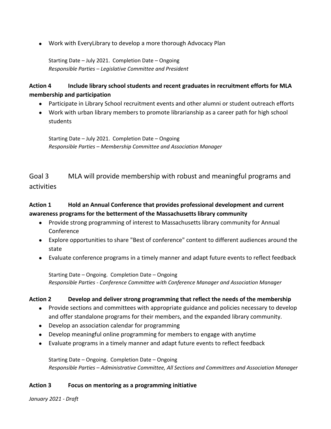Work with EveryLibrary to develop a more thorough Advocacy Plan

Starting Date – July 2021. Completion Date – Ongoing *Responsible Parties – Legislative Committee and President*

## **Action 4 Include library school students and recent graduates in recruitment efforts for MLA membership and participation**

- Participate in Library School recruitment events and other alumni or student outreach efforts
- Work with urban library members to promote librarianship as a career path for high school students

Starting Date – July 2021. Completion Date – Ongoing *Responsible Parties – Membership Committee and Association Manager*

# Goal 3 MLA will provide membership with robust and meaningful programs and activities

## **Action 1 Hold an Annual Conference that provides professional development and current awareness programs for the betterment of the Massachusetts library community**

- Provide strong programming of interest to Massachusetts library community for Annual Conference
- Explore opportunities to share "Best of conference" content to different audiences around the state
- Evaluate conference programs in a timely manner and adapt future events to reflect feedback

Starting Date – Ongoing. Completion Date – Ongoing *Responsible Parties - Conference Committee with Conference Manager and Association Manager*

### **Action 2 Develop and deliver strong programming that reflect the needs of the membership**

- Provide sections and committees with appropriate guidance and policies necessary to develop and offer standalone programs for their members, and the expanded library community.
- Develop an association calendar for programming
- Develop meaningful online programming for members to engage with anytime
- Evaluate programs in a timely manner and adapt future events to reflect feedback

Starting Date – Ongoing. Completion Date – Ongoing *Responsible Parties – Administrative Committee, All Sections and Committees and Association Manager*

### **Action 3 Focus on mentoring as a programming initiative**

*January 2021 - Draft*